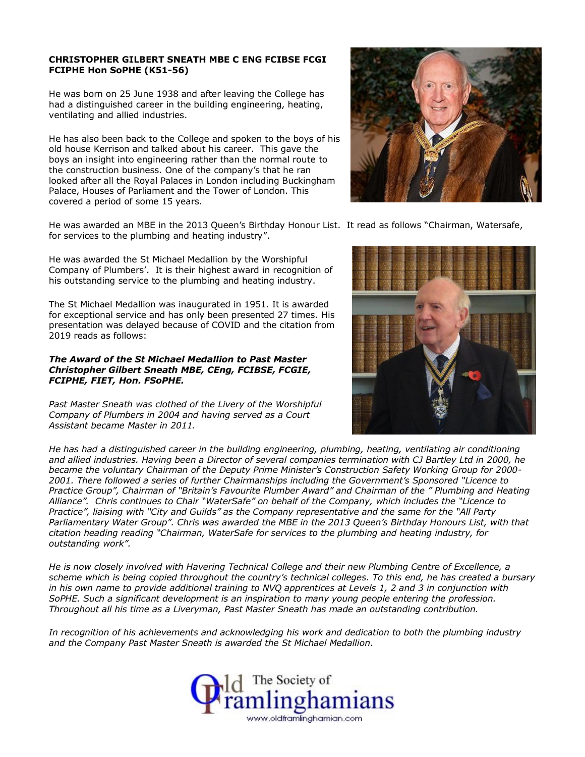# **CHRISTOPHER GILBERT SNEATH MBE C ENG FCIBSE FCGI FCIPHE Hon SoPHE (K51-56)**

He was born on 25 June 1938 and after leaving the College has had a distinguished career in the building engineering, heating, ventilating and allied industries.

He has also been back to the College and spoken to the boys of his old house Kerrison and talked about his career. This gave the boys an insight into engineering rather than the normal route to the construction business. One of the company's that he ran looked after all the Royal Palaces in London including Buckingham Palace, Houses of Parliament and the Tower of London. This covered a period of some 15 years.

He was awarded an MBE in the 2013 Queen's Birthday Honour List. It read as follows "Chairman, Watersafe, for services to the plumbing and heating industry".

He was awarded the St Michael Medallion by the Worshipful Company of Plumbers'. It is their highest award in recognition of his outstanding service to the plumbing and heating industry.

The St Michael Medallion was inaugurated in 1951. It is awarded for exceptional service and has only been presented 27 times. His presentation was delayed because of COVID and the citation from 2019 reads as follows:

# *The Award of the St Michael Medallion to Past Master Christopher Gilbert Sneath MBE, CEng, FCIBSE, FCGIE, FCIPHE, FIET, Hon. FSoPHE.*

*Past Master Sneath was clothed of the Livery of the Worshipful Company of Plumbers in 2004 and having served as a Court Assistant became Master in 2011.*



*He has had a distinguished career in the building engineering, plumbing, heating, ventilating air conditioning and allied industries. Having been a Director of several companies termination with CJ Bartley Ltd in 2000, he became the voluntary Chairman of the Deputy Prime Minister's Construction Safety Working Group for 2000- 2001. There followed a series of further Chairmanships including the Government's Sponsored "Licence to Practice Group", Chairman of "Britain's Favourite Plumber Award" and Chairman of the " Plumbing and Heating Alliance". Chris continues to Chair "WaterSafe" on behalf of the Company, which includes the "Licence to Practice", liaising with "City and Guilds" as the Company representative and the same for the "All Party Parliamentary Water Group". Chris was awarded the MBE in the 2013 Queen's Birthday Honours List, with that citation heading reading "Chairman, WaterSafe for services to the plumbing and heating industry, for outstanding work".*

*He is now closely involved with Havering Technical College and their new Plumbing Centre of Excellence, a scheme which is being copied throughout the country's technical colleges. To this end, he has created a bursary in his own name to provide additional training to NVQ apprentices at Levels 1, 2 and 3 in conjunction with SoPHE. Such a significant development is an inspiration to many young people entering the profession. Throughout all his time as a Liveryman, Past Master Sneath has made an outstanding contribution.*

*In recognition of his achievements and acknowledging his work and dedication to both the plumbing industry and the Company Past Master Sneath is awarded the St Michael Medallion.*

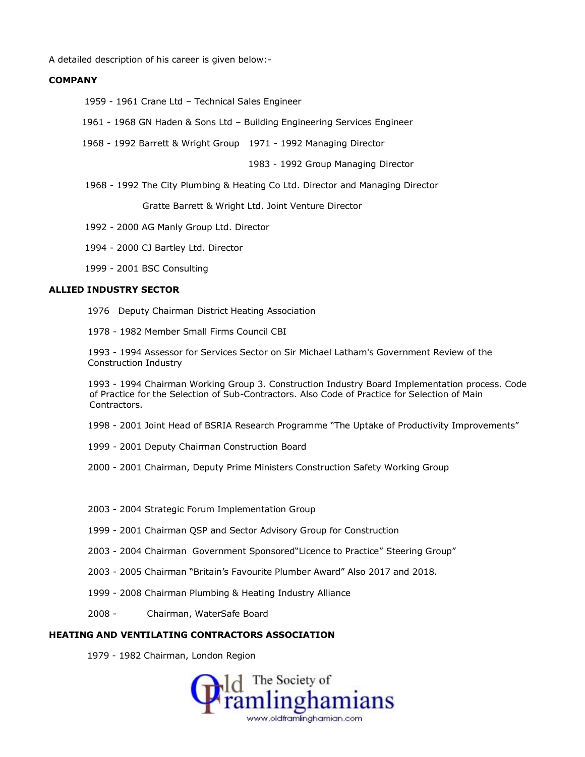A detailed description of his career is given below:-

#### **COMPANY**

- 1959 1961 Crane Ltd Technical Sales Engineer
- 1961 1968 GN Haden & Sons Ltd Building Engineering Services Engineer
- 1968 1992 Barrett & Wright Group 1971 1992 Managing Director

1983 - 1992 Group Managing Director

1968 - 1992 The City Plumbing & Heating Co Ltd. Director and Managing Director

Gratte Barrett & Wright Ltd. Joint Venture Director

- 1992 2000 AG Manly Group Ltd. Director
- 1994 2000 CJ Bartley Ltd. Director
- 1999 2001 BSC Consulting

# **ALLIED INDUSTRY SECTOR**

- 1976 Deputy Chairman District Heating Association
- 1978 1982 Member Small Firms Council CBI

 1993 - 1994 Assessor for Services Sector on Sir Michael Latham's Government Review of the Construction Industry

 1993 - 1994 Chairman Working Group 3. Construction Industry Board Implementation process. Code of Practice for the Selection of Sub-Contractors. Also Code of Practice for Selection of Main Contractors.

- 1998 2001 Joint Head of BSRIA Research Programme "The Uptake of Productivity Improvements"
- 1999 2001 Deputy Chairman Construction Board
- 2000 2001 Chairman, Deputy Prime Ministers Construction Safety Working Group
- 2003 2004 Strategic Forum Implementation Group
- 1999 2001 Chairman QSP and Sector Advisory Group for Construction
- 2003 2004 Chairman Government Sponsored"Licence to Practice" Steering Group"
- 2003 2005 Chairman "Britain's Favourite Plumber Award" Also 2017 and 2018.
- 1999 2008 Chairman Plumbing & Heating Industry Alliance
- 2008 Chairman, WaterSafe Board

## **HEATING AND VENTILATING CONTRACTORS ASSOCIATION**

1979 - 1982 Chairman, London Region